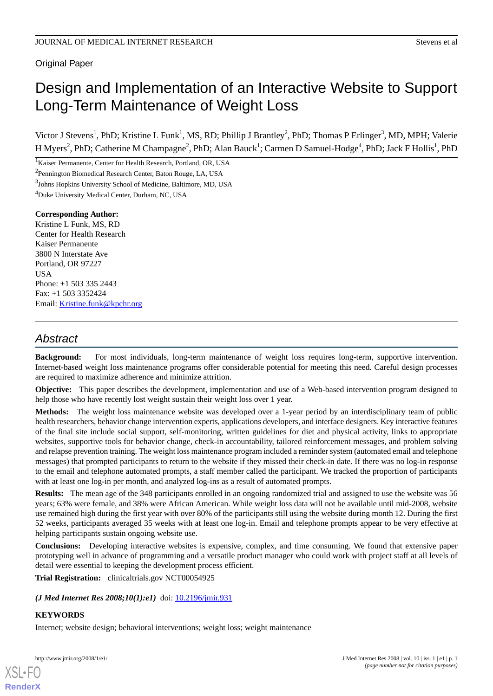## Original Paper

# Design and Implementation of an Interactive Website to Support Long-Term Maintenance of Weight Loss

Victor J Stevens<sup>1</sup>, PhD; Kristine L Funk<sup>1</sup>, MS, RD; Phillip J Brantley<sup>2</sup>, PhD; Thomas P Erlinger<sup>3</sup>, MD, MPH; Valerie H Myers<sup>2</sup>, PhD; Catherine M Champagne<sup>2</sup>, PhD; Alan Bauck<sup>1</sup>; Carmen D Samuel-Hodge<sup>4</sup>, PhD; Jack F Hollis<sup>1</sup>, PhD

<sup>1</sup>Kaiser Permanente, Center for Health Research, Portland, OR, USA

<sup>2</sup>Pennington Biomedical Research Center, Baton Rouge, LA, USA

<sup>3</sup>Johns Hopkins University School of Medicine, Baltimore, MD, USA

<sup>4</sup>Duke University Medical Center, Durham, NC, USA

**Corresponding Author:** Kristine L Funk, MS, RD Center for Health Research Kaiser Permanente 3800 N Interstate Ave Portland, OR 97227 **USA** Phone: +1 503 335 2443 Fax: +1 503 3352424 Email: [Kristine.funk@kpchr.org](mailto:Kristine.funk@kpchr.org)

## *Abstract*

**Background:** For most individuals, long-term maintenance of weight loss requires long-term, supportive intervention. Internet-based weight loss maintenance programs offer considerable potential for meeting this need. Careful design processes are required to maximize adherence and minimize attrition.

**Objective:** This paper describes the development, implementation and use of a Web-based intervention program designed to help those who have recently lost weight sustain their weight loss over 1 year.

**Methods:** The weight loss maintenance website was developed over a 1-year period by an interdisciplinary team of public health researchers, behavior change intervention experts, applications developers, and interface designers. Key interactive features of the final site include social support, self-monitoring, written guidelines for diet and physical activity, links to appropriate websites, supportive tools for behavior change, check-in accountability, tailored reinforcement messages, and problem solving and relapse prevention training. The weight loss maintenance program included a reminder system (automated email and telephone messages) that prompted participants to return to the website if they missed their check-in date. If there was no log-in response to the email and telephone automated prompts, a staff member called the participant. We tracked the proportion of participants with at least one log-in per month, and analyzed log-ins as a result of automated prompts.

**Results:** The mean age of the 348 participants enrolled in an ongoing randomized trial and assigned to use the website was 56 years; 63% were female, and 38% were African American. While weight loss data will not be available until mid-2008, website use remained high during the first year with over 80% of the participants still using the website during month 12. During the first 52 weeks, participants averaged 35 weeks with at least one log-in. Email and telephone prompts appear to be very effective at helping participants sustain ongoing website use.

**Conclusions:** Developing interactive websites is expensive, complex, and time consuming. We found that extensive paper prototyping well in advance of programming and a versatile product manager who could work with project staff at all levels of detail were essential to keeping the development process efficient.

**Trial Registration:** clinicaltrials.gov NCT00054925

*(J Med Internet Res 2008;10(1):e1)* doi:  $10.2196/$ *jmir.931* 

### **KEYWORDS**

[XSL](http://www.w3.org/Style/XSL)•FO **[RenderX](http://www.renderx.com/)**

Internet; website design; behavioral interventions; weight loss; weight maintenance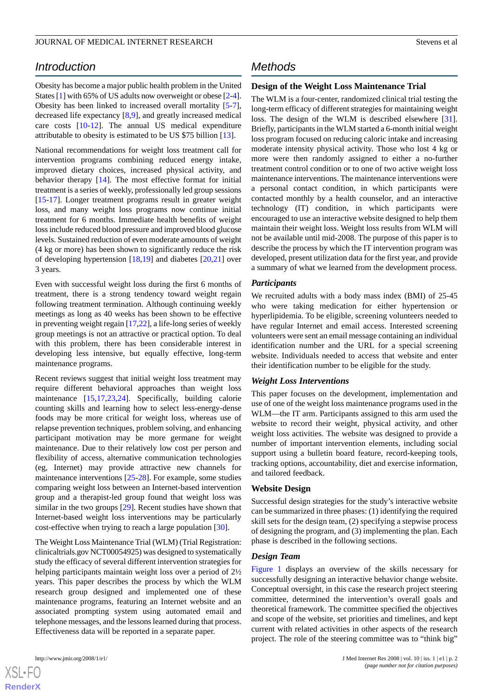## *Introduction*

Obesity has become a major public health problem in the United States [\[1](#page-13-0)] with 65% of US adults now overweight or obese [[2-](#page-13-1)[4\]](#page-13-2). Obesity has been linked to increased overall mortality [\[5-](#page-13-3)[7\]](#page-13-4), decreased life expectancy [\[8](#page-13-5),[9\]](#page-13-6), and greatly increased medical care costs [[10-](#page-13-7)[12](#page-13-8)]. The annual US medical expenditure attributable to obesity is estimated to be US \$75 billion [[13\]](#page-13-9).

National recommendations for weight loss treatment call for intervention programs combining reduced energy intake, improved dietary choices, increased physical activity, and behavior therapy [\[14](#page-13-10)]. The most effective format for initial treatment is a series of weekly, professionally led group sessions [[15](#page-13-11)[-17](#page-14-0)]. Longer treatment programs result in greater weight loss, and many weight loss programs now continue initial treatment for 6 months. Immediate health benefits of weight loss include reduced blood pressure and improved blood glucose levels. Sustained reduction of even moderate amounts of weight (4 kg or more) has been shown to significantly reduce the risk of developing hypertension [\[18](#page-14-1),[19\]](#page-14-2) and diabetes [\[20](#page-14-3),[21\]](#page-14-4) over 3 years.

Even with successful weight loss during the first 6 months of treatment, there is a strong tendency toward weight regain following treatment termination. Although continuing weekly meetings as long as 40 weeks has been shown to be effective in preventing weight regain [\[17](#page-14-0),[22\]](#page-14-5), a life-long series of weekly group meetings is not an attractive or practical option. To deal with this problem, there has been considerable interest in developing less intensive, but equally effective, long-term maintenance programs.

Recent reviews suggest that initial weight loss treatment may require different behavioral approaches than weight loss maintenance [\[15](#page-13-11),[17](#page-14-0)[,23](#page-14-6),[24\]](#page-14-7). Specifically, building calorie counting skills and learning how to select less-energy-dense foods may be more critical for weight loss, whereas use of relapse prevention techniques, problem solving, and enhancing participant motivation may be more germane for weight maintenance. Due to their relatively low cost per person and flexibility of access, alternative communication technologies (eg, Internet) may provide attractive new channels for maintenance interventions [[25-](#page-14-8)[28\]](#page-14-9). For example, some studies comparing weight loss between an Internet-based intervention group and a therapist-led group found that weight loss was similar in the two groups [\[29](#page-14-10)]. Recent studies have shown that Internet-based weight loss interventions may be particularly cost-effective when trying to reach a large population [[30\]](#page-14-11).

The Weight Loss Maintenance Trial (WLM) (Trial Registration: clinicaltrials.gov NCT00054925) was designed to systematically study the efficacy of several different intervention strategies for helping participants maintain weight loss over a period of  $2\frac{1}{2}$ years. This paper describes the process by which the WLM research group designed and implemented one of these maintenance programs, featuring an Internet website and an associated prompting system using automated email and telephone messages, and the lessons learned during that process. Effectiveness data will be reported in a separate paper.

## *Methods*

### **Design of the Weight Loss Maintenance Trial**

The WLM is a four-center, randomized clinical trial testing the long-term efficacy of different strategies for maintaining weight loss. The design of the WLM is described elsewhere [[31\]](#page-14-12). Briefly, participants in the WLM started a 6-month initial weight loss program focused on reducing caloric intake and increasing moderate intensity physical activity. Those who lost 4 kg or more were then randomly assigned to either a no-further treatment control condition or to one of two active weight loss maintenance interventions. The maintenance interventions were a personal contact condition, in which participants were contacted monthly by a health counselor, and an interactive technology (IT) condition, in which participants were encouraged to use an interactive website designed to help them maintain their weight loss. Weight loss results from WLM will not be available until mid-2008. The purpose of this paper is to describe the process by which the IT intervention program was developed, present utilization data for the first year, and provide a summary of what we learned from the development process.

### *Participants*

We recruited adults with a body mass index (BMI) of 25-45 who were taking medication for either hypertension or hyperlipidemia. To be eligible, screening volunteers needed to have regular Internet and email access. Interested screening volunteers were sent an email message containing an individual identification number and the URL for a special screening website. Individuals needed to access that website and enter their identification number to be eligible for the study.

### *Weight Loss Interventions*

This paper focuses on the development, implementation and use of one of the weight loss maintenance programs used in the WLM—the IT arm. Participants assigned to this arm used the website to record their weight, physical activity, and other weight loss activities. The website was designed to provide a number of important intervention elements, including social support using a bulletin board feature, record-keeping tools, tracking options, accountability, diet and exercise information, and tailored feedback.

### **Website Design**

Successful design strategies for the study's interactive website can be summarized in three phases: (1) identifying the required skill sets for the design team, (2) specifying a stepwise process of designing the program, and (3) implementing the plan. Each phase is described in the following sections.

### *Design Team*

[Figure 1](#page-2-0) displays an overview of the skills necessary for successfully designing an interactive behavior change website. Conceptual oversight, in this case the research project steering committee, determined the intervention's overall goals and theoretical framework. The committee specified the objectives and scope of the website, set priorities and timelines, and kept current with related activities in other aspects of the research project. The role of the steering committee was to "think big"

 $XSI - F($ **[RenderX](http://www.renderx.com/)**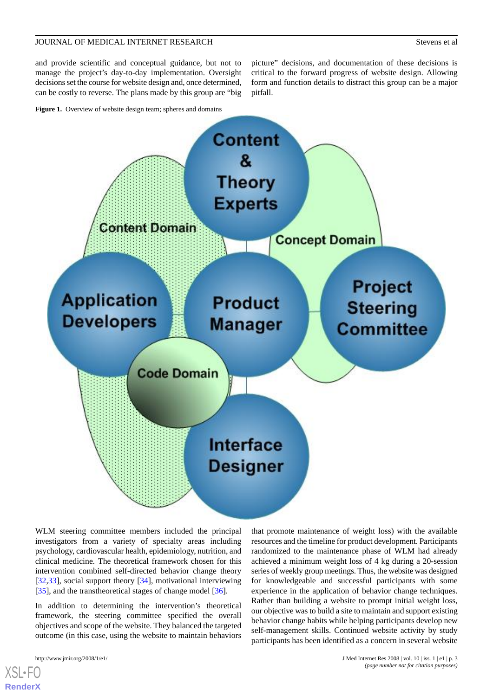and provide scientific and conceptual guidance, but not to manage the project's day-to-day implementation. Oversight decisions set the course for website design and, once determined, can be costly to reverse. The plans made by this group are "big

<span id="page-2-0"></span>Figure 1. Overview of website design team; spheres and domains

picture" decisions, and documentation of these decisions is critical to the forward progress of website design. Allowing form and function details to distract this group can be a major pitfall.



WLM steering committee members included the principal investigators from a variety of specialty areas including psychology, cardiovascular health, epidemiology, nutrition, and clinical medicine. The theoretical framework chosen for this intervention combined self-directed behavior change theory [[32](#page-14-13)[,33](#page-14-14)], social support theory [\[34](#page-14-15)], motivational interviewing [[35\]](#page-14-16), and the transtheoretical stages of change model [\[36](#page-14-17)].

In addition to determining the intervention's theoretical framework, the steering committee specified the overall objectives and scope of the website. They balanced the targeted outcome (in this case, using the website to maintain behaviors

that promote maintenance of weight loss) with the available resources and the timeline for product development. Participants randomized to the maintenance phase of WLM had already achieved a minimum weight loss of 4 kg during a 20-session series of weekly group meetings. Thus, the website was designed for knowledgeable and successful participants with some experience in the application of behavior change techniques. Rather than building a website to prompt initial weight loss, our objective was to build a site to maintain and support existing behavior change habits while helping participants develop new self-management skills. Continued website activity by study participants has been identified as a concern in several website

 $X$ SL•F $C$ **[RenderX](http://www.renderx.com/)**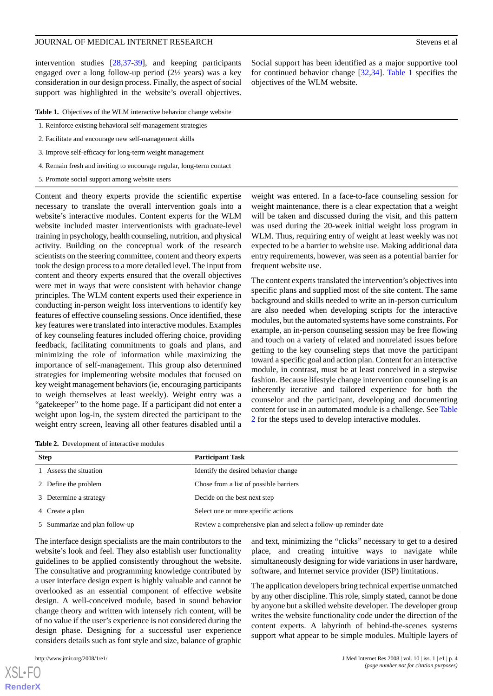intervention studies [\[28](#page-14-9)[,37](#page-14-18)-[39\]](#page-14-19), and keeping participants engaged over a long follow-up period (2½ years) was a key consideration in our design process. Finally, the aspect of social support was highlighted in the website's overall objectives.

<span id="page-3-0"></span>Table 1. Objectives of the WLM interactive behavior change website

- 1. Reinforce existing behavioral self-management strategies
- 2. Facilitate and encourage new self-management skills
- 3. Improve self-efficacy for long-term weight management
- 4. Remain fresh and inviting to encourage regular, long-term contact
- 5. Promote social support among website users

Content and theory experts provide the scientific expertise necessary to translate the overall intervention goals into a website's interactive modules. Content experts for the WLM website included master interventionists with graduate-level training in psychology, health counseling, nutrition, and physical activity. Building on the conceptual work of the research scientists on the steering committee, content and theory experts took the design process to a more detailed level. The input from content and theory experts ensured that the overall objectives were met in ways that were consistent with behavior change principles. The WLM content experts used their experience in conducting in-person weight loss interventions to identify key features of effective counseling sessions. Once identified, these key features were translated into interactive modules. Examples of key counseling features included offering choice, providing feedback, facilitating commitments to goals and plans, and minimizing the role of information while maximizing the importance of self-management. This group also determined strategies for implementing website modules that focused on key weight management behaviors (ie, encouraging participants to weigh themselves at least weekly). Weight entry was a "gatekeeper" to the home page. If a participant did not enter a weight upon log-in, the system directed the participant to the weight entry screen, leaving all other features disabled until a

Social support has been identified as a major supportive tool for continued behavior change [[32](#page-14-13)[,34](#page-14-15)]. [Table 1](#page-3-0) specifies the objectives of the WLM website.

weight was entered. In a face-to-face counseling session for weight maintenance, there is a clear expectation that a weight will be taken and discussed during the visit, and this pattern was used during the 20-week initial weight loss program in WLM. Thus, requiring entry of weight at least weekly was not expected to be a barrier to website use. Making additional data entry requirements, however, was seen as a potential barrier for frequent website use.

The content experts translated the intervention's objectives into specific plans and supplied most of the site content. The same background and skills needed to write an in-person curriculum are also needed when developing scripts for the interactive modules, but the automated systems have some constraints. For example, an in-person counseling session may be free flowing and touch on a variety of related and nonrelated issues before getting to the key counseling steps that move the participant toward a specific goal and action plan. Content for an interactive module, in contrast, must be at least conceived in a stepwise fashion. Because lifestyle change intervention counseling is an inherently iterative and tailored experience for both the counselor and the participant, developing and documenting content for use in an automated module is a challenge. See [Table](#page-3-1) [2](#page-3-1) for the steps used to develop interactive modules.

<span id="page-3-1"></span>**Table 2.** Development of interactive modules

| <b>Step</b>                    | <b>Participant Task</b>                                          |  |
|--------------------------------|------------------------------------------------------------------|--|
| 1 Assess the situation         | Identify the desired behavior change                             |  |
| 2 Define the problem           | Chose from a list of possible barriers                           |  |
| 3 Determine a strategy         | Decide on the best next step                                     |  |
| 4 Create a plan                | Select one or more specific actions                              |  |
| 5 Summarize and plan follow-up | Review a comprehensive plan and select a follow-up reminder date |  |

The interface design specialists are the main contributors to the website's look and feel. They also establish user functionality guidelines to be applied consistently throughout the website. The consultative and programming knowledge contributed by a user interface design expert is highly valuable and cannot be overlooked as an essential component of effective website design. A well-conceived module, based in sound behavior change theory and written with intensely rich content, will be of no value if the user's experience is not considered during the design phase. Designing for a successful user experience considers details such as font style and size, balance of graphic

and text, minimizing the "clicks" necessary to get to a desired place, and creating intuitive ways to navigate while simultaneously designing for wide variations in user hardware, software, and Internet service provider (ISP) limitations.

The application developers bring technical expertise unmatched by any other discipline. This role, simply stated, cannot be done by anyone but a skilled website developer. The developer group writes the website functionality code under the direction of the content experts. A labyrinth of behind-the-scenes systems support what appear to be simple modules. Multiple layers of

[XSL](http://www.w3.org/Style/XSL)•FO **[RenderX](http://www.renderx.com/)**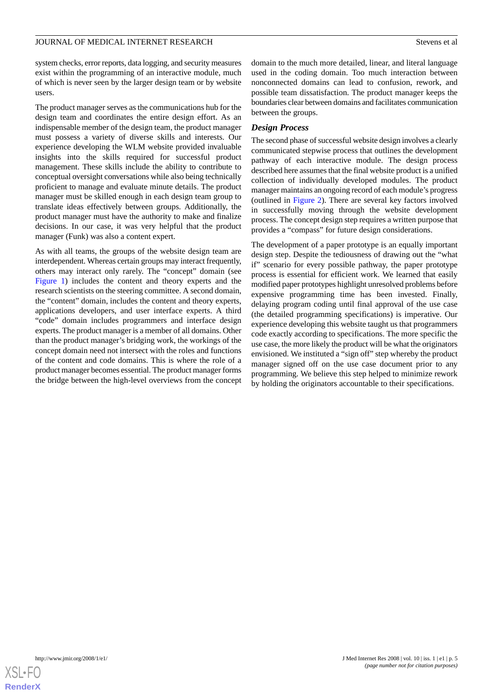system checks, error reports, data logging, and security measures exist within the programming of an interactive module, much of which is never seen by the larger design team or by website users.

The product manager serves as the communications hub for the design team and coordinates the entire design effort. As an indispensable member of the design team, the product manager must possess a variety of diverse skills and interests. Our experience developing the WLM website provided invaluable insights into the skills required for successful product management. These skills include the ability to contribute to conceptual oversight conversations while also being technically proficient to manage and evaluate minute details. The product manager must be skilled enough in each design team group to translate ideas effectively between groups. Additionally, the product manager must have the authority to make and finalize decisions. In our case, it was very helpful that the product manager (Funk) was also a content expert.

As with all teams, the groups of the website design team are interdependent. Whereas certain groups may interact frequently, others may interact only rarely. The "concept" domain (see [Figure 1\)](#page-2-0) includes the content and theory experts and the research scientists on the steering committee. A second domain, the "content" domain, includes the content and theory experts, applications developers, and user interface experts. A third "code" domain includes programmers and interface design experts. The product manager is a member of all domains. Other than the product manager's bridging work, the workings of the concept domain need not intersect with the roles and functions of the content and code domains. This is where the role of a product manager becomes essential. The product manager forms the bridge between the high-level overviews from the concept domain to the much more detailed, linear, and literal language used in the coding domain. Too much interaction between nonconnected domains can lead to confusion, rework, and possible team dissatisfaction. The product manager keeps the boundaries clear between domains and facilitates communication between the groups.

### *Design Process*

The second phase of successful website design involves a clearly communicated stepwise process that outlines the development pathway of each interactive module. The design process described here assumes that the final website product is a unified collection of individually developed modules. The product manager maintains an ongoing record of each module's progress (outlined in [Figure 2](#page-5-0)). There are several key factors involved in successfully moving through the website development process. The concept design step requires a written purpose that provides a "compass" for future design considerations.

The development of a paper prototype is an equally important design step. Despite the tediousness of drawing out the "what if" scenario for every possible pathway, the paper prototype process is essential for efficient work. We learned that easily modified paper prototypes highlight unresolved problems before expensive programming time has been invested. Finally, delaying program coding until final approval of the use case (the detailed programming specifications) is imperative. Our experience developing this website taught us that programmers code exactly according to specifications. The more specific the use case, the more likely the product will be what the originators envisioned. We instituted a "sign off" step whereby the product manager signed off on the use case document prior to any programming. We believe this step helped to minimize rework by holding the originators accountable to their specifications.

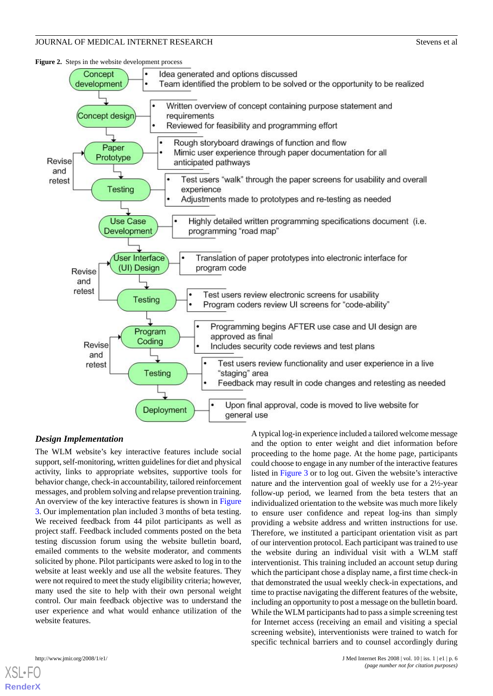<span id="page-5-0"></span>**Figure 2.** Steps in the website development process



### *Design Implementation*

The WLM website's key interactive features include social support, self-monitoring, written guidelines for diet and physical activity, links to appropriate websites, supportive tools for behavior change, check-in accountability, tailored reinforcement messages, and problem solving and relapse prevention training. An overview of the key interactive features is shown in [Figure](#page-6-0) [3.](#page-6-0) Our implementation plan included 3 months of beta testing. We received feedback from 44 pilot participants as well as project staff. Feedback included comments posted on the beta testing discussion forum using the website bulletin board, emailed comments to the website moderator, and comments solicited by phone. Pilot participants were asked to log in to the website at least weekly and use all the website features. They were not required to meet the study eligibility criteria; however, many used the site to help with their own personal weight control. Our main feedback objective was to understand the user experience and what would enhance utilization of the website features.

A typical log-in experience included a tailored welcome message and the option to enter weight and diet information before proceeding to the home page. At the home page, participants could choose to engage in any number of the interactive features listed in [Figure 3](#page-6-0) or to log out. Given the website's interactive nature and the intervention goal of weekly use for a 2½-year follow-up period, we learned from the beta testers that an individualized orientation to the website was much more likely to ensure user confidence and repeat log-ins than simply providing a website address and written instructions for use. Therefore, we instituted a participant orientation visit as part of our intervention protocol. Each participant was trained to use the website during an individual visit with a WLM staff interventionist. This training included an account setup during which the participant chose a display name, a first time check-in that demonstrated the usual weekly check-in expectations, and time to practise navigating the different features of the website, including an opportunity to post a message on the bulletin board. While the WLM participants had to pass a simple screening test for Internet access (receiving an email and visiting a special screening website), interventionists were trained to watch for specific technical barriers and to counsel accordingly during



[XSL](http://www.w3.org/Style/XSL)•FO **[RenderX](http://www.renderx.com/)**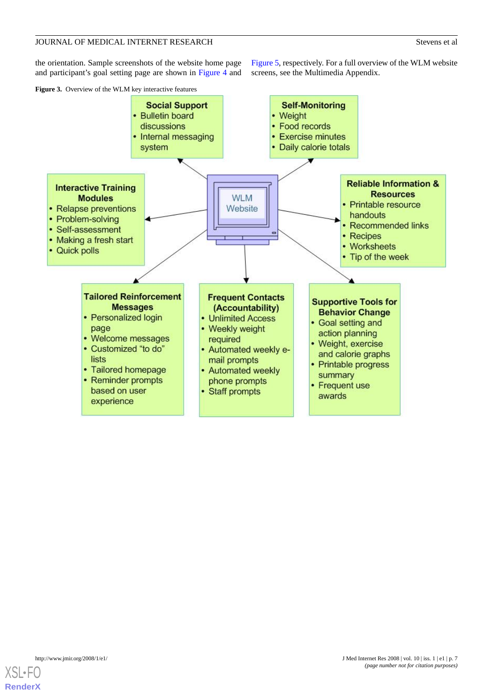the orientation. Sample screenshots of the website home page and participant's goal setting page are shown in [Figure 4](#page-7-0) and

[Figure 5,](#page-8-0) respectively. For a full overview of the WLM website screens, see the Multimedia Appendix.

<span id="page-6-0"></span>



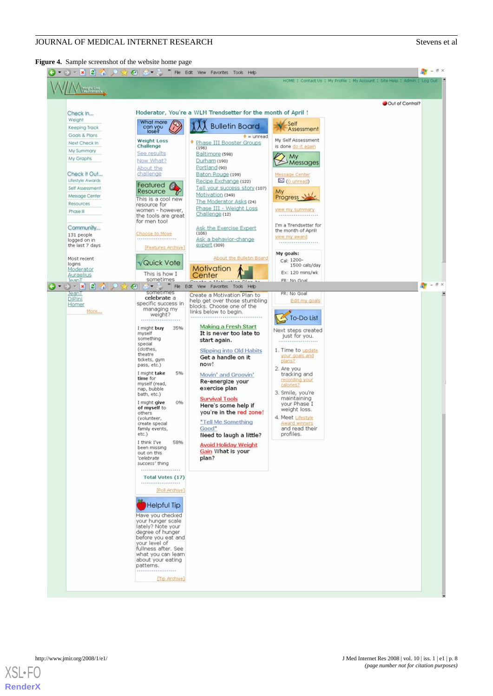### <span id="page-7-0"></span>**Figure 4.** Sample screenshot of the website home page



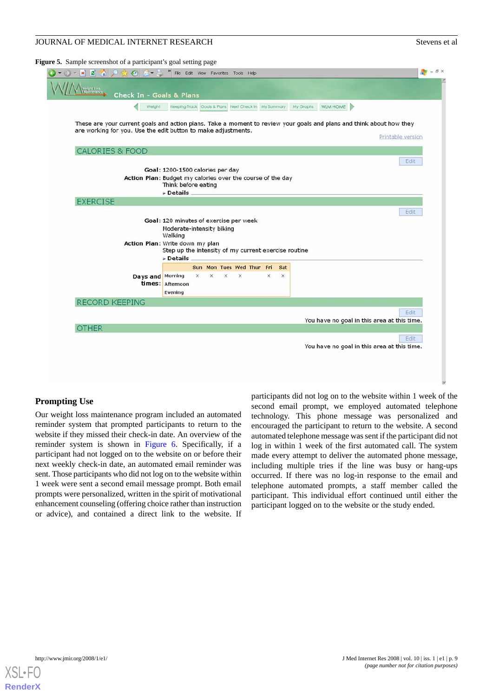### <span id="page-8-0"></span>**Figure 5.** Sample screenshot of a participant's goal setting page



### **Prompting Use**

Our weight loss maintenance program included an automated reminder system that prompted participants to return to the website if they missed their check-in date. An overview of the reminder system is shown in [Figure 6](#page-9-0). Specifically, if a participant had not logged on to the website on or before their next weekly check-in date, an automated email reminder was sent. Those participants who did not log on to the website within 1 week were sent a second email message prompt. Both email prompts were personalized, written in the spirit of motivational enhancement counseling (offering choice rather than instruction or advice), and contained a direct link to the website. If

participants did not log on to the website within 1 week of the second email prompt, we employed automated telephone technology. This phone message was personalized and encouraged the participant to return to the website. A second automated telephone message was sent if the participant did not log in within 1 week of the first automated call. The system made every attempt to deliver the automated phone message, including multiple tries if the line was busy or hang-ups occurred. If there was no log-in response to the email and telephone automated prompts, a staff member called the participant. This individual effort continued until either the participant logged on to the website or the study ended.

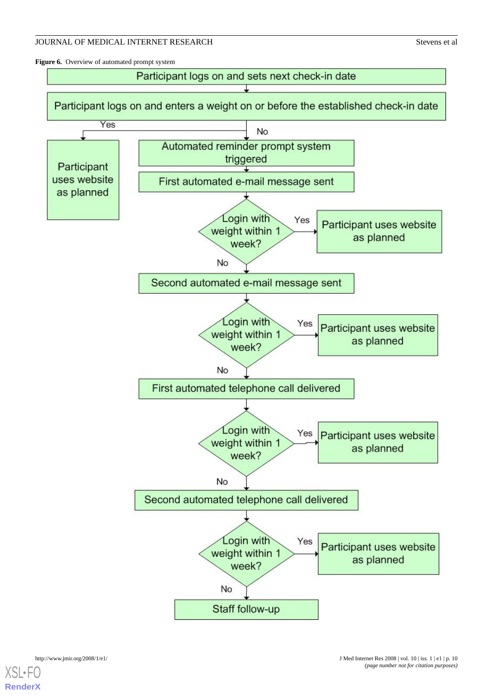<span id="page-9-0"></span>Figure 6. Overview of automated prompt system





**[RenderX](http://www.renderx.com/)**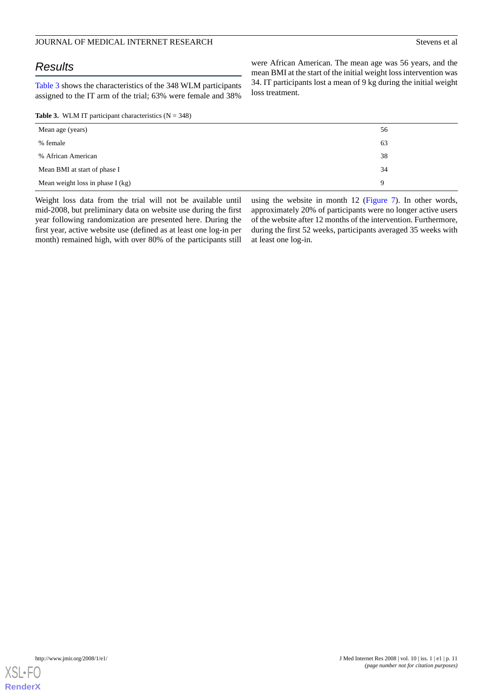## *Results*

[Table 3](#page-10-0) shows the characteristics of the 348 WLM participants assigned to the IT arm of the trial; 63% were female and 38%

<span id="page-10-0"></span>**Table 3.** WLM IT participant characteristics  $(N = 348)$ 

were African American. The mean age was 56 years, and the mean BMI at the start of the initial weight loss intervention was 34. IT participants lost a mean of 9 kg during the initial weight loss treatment.

| Mean age (years)                 | 56 |
|----------------------------------|----|
| % female                         | 63 |
| % African American               | 38 |
| Mean BMI at start of phase I     | 34 |
| Mean weight loss in phase I (kg) | 9  |

Weight loss data from the trial will not be available until mid-2008, but preliminary data on website use during the first year following randomization are presented here. During the first year, active website use (defined as at least one log-in per month) remained high, with over 80% of the participants still

using the website in month 12 ([Figure 7\)](#page-11-0). In other words, approximately 20% of participants were no longer active users of the website after 12 months of the intervention. Furthermore, during the first 52 weeks, participants averaged 35 weeks with at least one log-in.

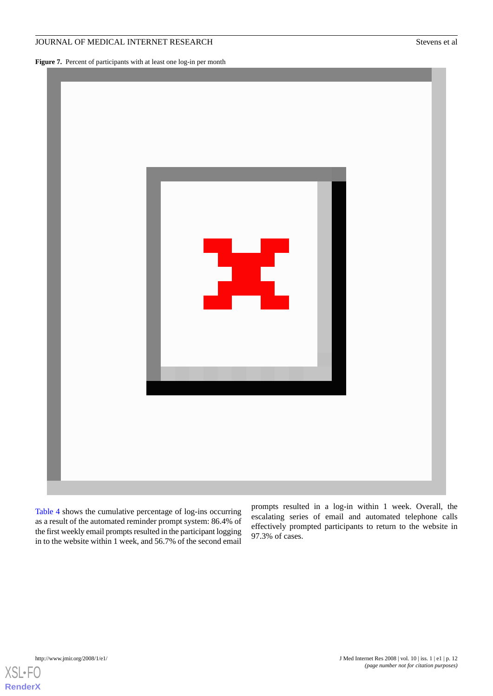### JOURNAL OF MEDICAL INTERNET RESEARCH Stevens et al.

<span id="page-11-0"></span>Figure 7. Percent of participants with at least one log-in per month



[Table 4](#page-12-0) shows the cumulative percentage of log-ins occurring as a result of the automated reminder prompt system: 86.4% of the first weekly email prompts resulted in the participant logging in to the website within 1 week, and 56.7% of the second email

prompts resulted in a log-in within 1 week. Overall, the escalating series of email and automated telephone calls effectively prompted participants to return to the website in 97.3% of cases.

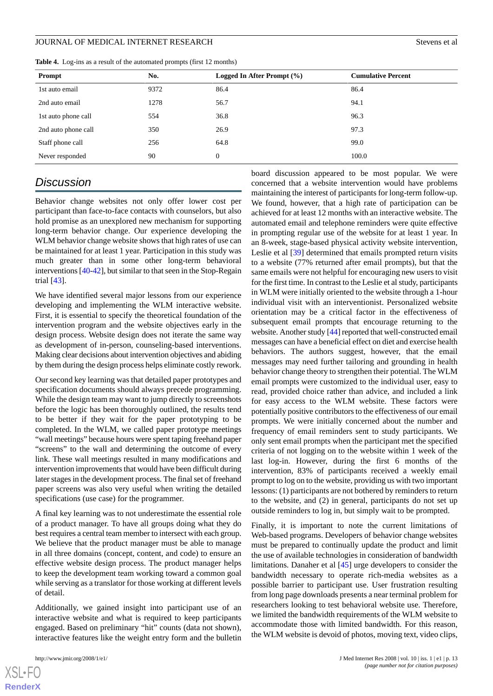<span id="page-12-0"></span>**Table 4.** Log-ins as a result of the automated prompts (first 12 months)

| Prompt              | No.  | Logged In After Prompt $(\% )$ | <b>Cumulative Percent</b> |
|---------------------|------|--------------------------------|---------------------------|
| 1st auto email      | 9372 | 86.4                           | 86.4                      |
| 2nd auto email      | 1278 | 56.7                           | 94.1                      |
| 1st auto phone call | 554  | 36.8                           | 96.3                      |
| 2nd auto phone call | 350  | 26.9                           | 97.3                      |
| Staff phone call    | 256  | 64.8                           | 99.0                      |
| Never responded     | 90   | $\overline{0}$                 | 100.0                     |

## *Discussion*

Behavior change websites not only offer lower cost per participant than face-to-face contacts with counselors, but also hold promise as an unexplored new mechanism for supporting long-term behavior change. Our experience developing the WLM behavior change website shows that high rates of use can be maintained for at least 1 year. Participation in this study was much greater than in some other long-term behavioral interventions [\[40-](#page-14-20)[42\]](#page-15-0), but similar to that seen in the Stop-Regain trial [\[43](#page-15-1)].

We have identified several major lessons from our experience developing and implementing the WLM interactive website. First, it is essential to specify the theoretical foundation of the intervention program and the website objectives early in the design process. Website design does not iterate the same way as development of in-person, counseling-based interventions. Making clear decisions about intervention objectives and abiding by them during the design process helps eliminate costly rework.

Our second key learning was that detailed paper prototypes and specification documents should always precede programming. While the design team may want to jump directly to screenshots before the logic has been thoroughly outlined, the results tend to be better if they wait for the paper prototyping to be completed. In the WLM, we called paper prototype meetings "wall meetings" because hours were spent taping freehand paper "screens" to the wall and determining the outcome of every link. These wall meetings resulted in many modifications and intervention improvements that would have been difficult during later stages in the development process. The final set of freehand paper screens was also very useful when writing the detailed specifications (use case) for the programmer.

A final key learning was to not underestimate the essential role of a product manager. To have all groups doing what they do best requires a central team member to intersect with each group. We believe that the product manager must be able to manage in all three domains (concept, content, and code) to ensure an effective website design process. The product manager helps to keep the development team working toward a common goal while serving as a translator for those working at different levels of detail.

Additionally, we gained insight into participant use of an interactive website and what is required to keep participants engaged. Based on preliminary "hit" counts (data not shown), interactive features like the weight entry form and the bulletin

 $X$ SL•F $O$ **[RenderX](http://www.renderx.com/)** board discussion appeared to be most popular. We were concerned that a website intervention would have problems maintaining the interest of participants for long-term follow-up. We found, however, that a high rate of participation can be achieved for at least 12 months with an interactive website. The automated email and telephone reminders were quite effective in prompting regular use of the website for at least 1 year. In an 8-week, stage-based physical activity website intervention, Leslie et al [[39\]](#page-14-19) determined that emails prompted return visits to a website (77% returned after email prompts), but that the same emails were not helpful for encouraging new users to visit for the first time. In contrast to the Leslie et al study, participants in WLM were initially oriented to the website through a 1-hour individual visit with an interventionist. Personalized website orientation may be a critical factor in the effectiveness of subsequent email prompts that encourage returning to the website. Another study [\[44\]](#page-15-2) reported that well-constructed email messages can have a beneficial effect on diet and exercise health behaviors. The authors suggest, however, that the email messages may need further tailoring and grounding in health behavior change theory to strengthen their potential. The WLM email prompts were customized to the individual user, easy to read, provided choice rather than advice, and included a link for easy access to the WLM website. These factors were potentially positive contributors to the effectiveness of our email prompts. We were initially concerned about the number and frequency of email reminders sent to study participants. We only sent email prompts when the participant met the specified criteria of not logging on to the website within 1 week of the last log-in. However, during the first 6 months of the intervention, 83% of participants received a weekly email prompt to log on to the website, providing us with two important lessons: (1) participants are not bothered by reminders to return to the website, and (2) in general, participants do not set up outside reminders to log in, but simply wait to be prompted.

Finally, it is important to note the current limitations of Web-based programs. Developers of behavior change websites must be prepared to continually update the product and limit the use of available technologies in consideration of bandwidth limitations. Danaher et al [\[45](#page-15-3)] urge developers to consider the bandwidth necessary to operate rich-media websites as a possible barrier to participant use. User frustration resulting from long page downloads presents a near terminal problem for researchers looking to test behavioral website use. Therefore, we limited the bandwidth requirements of the WLM website to accommodate those with limited bandwidth. For this reason, the WLM website is devoid of photos, moving text, video clips,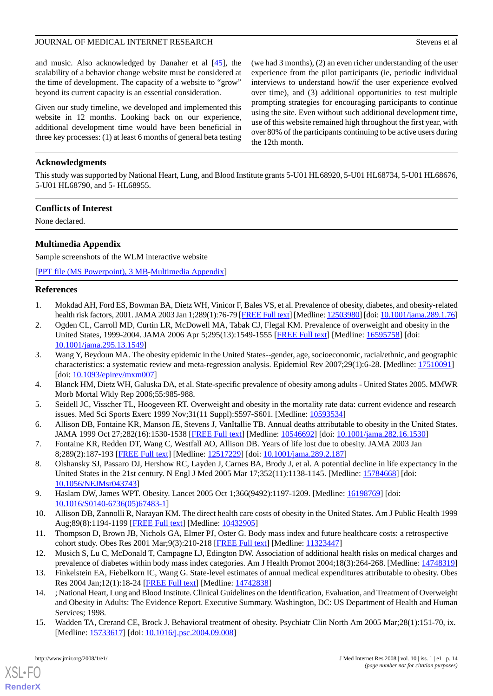and music. Also acknowledged by Danaher et al [[45\]](#page-15-3), the scalability of a behavior change website must be considered at the time of development. The capacity of a website to "grow" beyond its current capacity is an essential consideration.

Given our study timeline, we developed and implemented this website in 12 months. Looking back on our experience, additional development time would have been beneficial in three key processes: (1) at least 6 months of general beta testing

(we had 3 months), (2) an even richer understanding of the user experience from the pilot participants (ie, periodic individual interviews to understand how/if the user experience evolved over time), and (3) additional opportunities to test multiple prompting strategies for encouraging participants to continue using the site. Even without such additional development time, use of this website remained high throughout the first year, with over 80% of the participants continuing to be active users during the 12th month.

### **Acknowledgments**

This study was supported by National Heart, Lung, and Blood Institute grants 5-U01 HL68920, 5-U01 HL68734, 5-U01 HL68676, 5-U01 HL68790, and 5- HL68955.

### **Conflicts of Interest**

None declared.

### **Multimedia Appendix**

Sample screenshots of the WLM interactive website

<span id="page-13-0"></span>[[PPT file \(MS Powerpoint\), 3 MB-Multimedia Appendix\]](https://jmir.org/api/download?alt_name=jmir_v10i1e1_app1.ppt&filename=59f8252c705aee1ce32061e42611d4ac.ppt)

### <span id="page-13-1"></span>**References**

- 1. Mokdad AH, Ford ES, Bowman BA, Dietz WH, Vinicor F, Bales VS, et al. Prevalence of obesity, diabetes, and obesity-related health risk factors, 2001. JAMA 2003 Jan 1;289(1):76-79 [[FREE Full text\]](http://jama.ama-assn.org/cgi/pmidlookup?view=long&pmid=12503980) [Medline: [12503980](http://www.ncbi.nlm.nih.gov/entrez/query.fcgi?cmd=Retrieve&db=PubMed&list_uids=12503980&dopt=Abstract)] [doi: [10.1001/jama.289.1.76\]](http://dx.doi.org/10.1001/jama.289.1.76)
- 2. Ogden CL, Carroll MD, Curtin LR, McDowell MA, Tabak CJ, Flegal KM. Prevalence of overweight and obesity in the United States, 1999-2004. JAMA 2006 Apr 5;295(13):1549-1555 [\[FREE Full text\]](http://jama.ama-assn.org/cgi/pmidlookup?view=long&pmid=16595758) [Medline: [16595758\]](http://www.ncbi.nlm.nih.gov/entrez/query.fcgi?cmd=Retrieve&db=PubMed&list_uids=16595758&dopt=Abstract) [doi: [10.1001/jama.295.13.1549\]](http://dx.doi.org/10.1001/jama.295.13.1549)
- <span id="page-13-3"></span><span id="page-13-2"></span>3. Wang Y, Beydoun MA. The obesity epidemic in the United States--gender, age, socioeconomic, racial/ethnic, and geographic characteristics: a systematic review and meta-regression analysis. Epidemiol Rev 2007;29(1):6-28. [Medline: [17510091](http://www.ncbi.nlm.nih.gov/entrez/query.fcgi?cmd=Retrieve&db=PubMed&list_uids=17510091&dopt=Abstract)] [doi: [10.1093/epirev/mxm007](http://dx.doi.org/10.1093/epirev/mxm007)]
- 4. Blanck HM, Dietz WH, Galuska DA, et al. State-specific prevalence of obesity among adults United States 2005. MMWR Morb Mortal Wkly Rep 2006;55:985-988.
- <span id="page-13-4"></span>5. Seidell JC, Visscher TL, Hoogeveen RT. Overweight and obesity in the mortality rate data: current evidence and research issues. Med Sci Sports Exerc 1999 Nov;31(11 Suppl):S597-S601. [Medline: [10593534](http://www.ncbi.nlm.nih.gov/entrez/query.fcgi?cmd=Retrieve&db=PubMed&list_uids=10593534&dopt=Abstract)]
- <span id="page-13-5"></span>6. Allison DB, Fontaine KR, Manson JE, Stevens J, VanItallie TB. Annual deaths attributable to obesity in the United States. JAMA 1999 Oct 27;282(16):1530-1538 [[FREE Full text\]](http://jama.ama-assn.org/cgi/pmidlookup?view=long&pmid=10546692) [Medline: [10546692\]](http://www.ncbi.nlm.nih.gov/entrez/query.fcgi?cmd=Retrieve&db=PubMed&list_uids=10546692&dopt=Abstract) [doi: [10.1001/jama.282.16.1530](http://dx.doi.org/10.1001/jama.282.16.1530)]
- <span id="page-13-6"></span>7. Fontaine KR, Redden DT, Wang C, Westfall AO, Allison DB. Years of life lost due to obesity. JAMA 2003 Jan 8;289(2):187-193 [[FREE Full text](http://jama.ama-assn.org/cgi/pmidlookup?view=long&pmid=12517229)] [Medline: [12517229](http://www.ncbi.nlm.nih.gov/entrez/query.fcgi?cmd=Retrieve&db=PubMed&list_uids=12517229&dopt=Abstract)] [doi: [10.1001/jama.289.2.187\]](http://dx.doi.org/10.1001/jama.289.2.187)
- <span id="page-13-7"></span>8. Olshansky SJ, Passaro DJ, Hershow RC, Layden J, Carnes BA, Brody J, et al. A potential decline in life expectancy in the United States in the 21st century. N Engl J Med 2005 Mar 17;352(11):1138-1145. [Medline: [15784668\]](http://www.ncbi.nlm.nih.gov/entrez/query.fcgi?cmd=Retrieve&db=PubMed&list_uids=15784668&dopt=Abstract) [doi: [10.1056/NEJMsr043743](http://dx.doi.org/10.1056/NEJMsr043743)]
- <span id="page-13-8"></span>9. Haslam DW, James WPT. Obesity. Lancet 2005 Oct 1;366(9492):1197-1209. [Medline: [16198769](http://www.ncbi.nlm.nih.gov/entrez/query.fcgi?cmd=Retrieve&db=PubMed&list_uids=16198769&dopt=Abstract)] [doi: [10.1016/S0140-6736\(05\)67483-1\]](http://dx.doi.org/10.1016/S0140-6736(05)67483-1)
- <span id="page-13-9"></span>10. Allison DB, Zannolli R, Narayan KM. The direct health care costs of obesity in the United States. Am J Public Health 1999 Aug;89(8):1194-1199 [\[FREE Full text](http://www.pubmedcentral.nih.gov/articlerender.fcgi?tool=pubmed&pubmedid=10432905)] [Medline: [10432905](http://www.ncbi.nlm.nih.gov/entrez/query.fcgi?cmd=Retrieve&db=PubMed&list_uids=10432905&dopt=Abstract)]
- <span id="page-13-10"></span>11. Thompson D, Brown JB, Nichols GA, Elmer PJ, Oster G. Body mass index and future healthcare costs: a retrospective cohort study. Obes Res 2001 Mar;9(3):210-218 [[FREE Full text](http://www.obesityresearch.org/cgi/pmidlookup?view=long&pmid=11323447)] [Medline: [11323447\]](http://www.ncbi.nlm.nih.gov/entrez/query.fcgi?cmd=Retrieve&db=PubMed&list_uids=11323447&dopt=Abstract)
- <span id="page-13-11"></span>12. Musich S, Lu C, McDonald T, Campagne LJ, Edington DW. Association of additional health risks on medical charges and prevalence of diabetes within body mass index categories. Am J Health Promot 2004;18(3):264-268. [Medline: [14748319](http://www.ncbi.nlm.nih.gov/entrez/query.fcgi?cmd=Retrieve&db=PubMed&list_uids=14748319&dopt=Abstract)]
- 13. Finkelstein EA, Fiebelkorn IC, Wang G. State-level estimates of annual medical expenditures attributable to obesity. Obes Res 2004 Jan;12(1):18-24 [\[FREE Full text\]](http://www.obesityresearch.org/cgi/pmidlookup?view=long&pmid=14742838) [Medline: [14742838](http://www.ncbi.nlm.nih.gov/entrez/query.fcgi?cmd=Retrieve&db=PubMed&list_uids=14742838&dopt=Abstract)]
- 14. ; National Heart, Lung and Blood Institute. Clinical Guidelines on the Identification, Evaluation, and Treatment of Overweight and Obesity in Adults: The Evidence Report. Executive Summary. Washington, DC: US Department of Health and Human Services; 1998.
- 15. Wadden TA, Crerand CE, Brock J. Behavioral treatment of obesity. Psychiatr Clin North Am 2005 Mar;28(1):151-70, ix. [Medline: [15733617](http://www.ncbi.nlm.nih.gov/entrez/query.fcgi?cmd=Retrieve&db=PubMed&list_uids=15733617&dopt=Abstract)] [doi: [10.1016/j.psc.2004.09.008](http://dx.doi.org/10.1016/j.psc.2004.09.008)]

[XSL](http://www.w3.org/Style/XSL)•FO **[RenderX](http://www.renderx.com/)**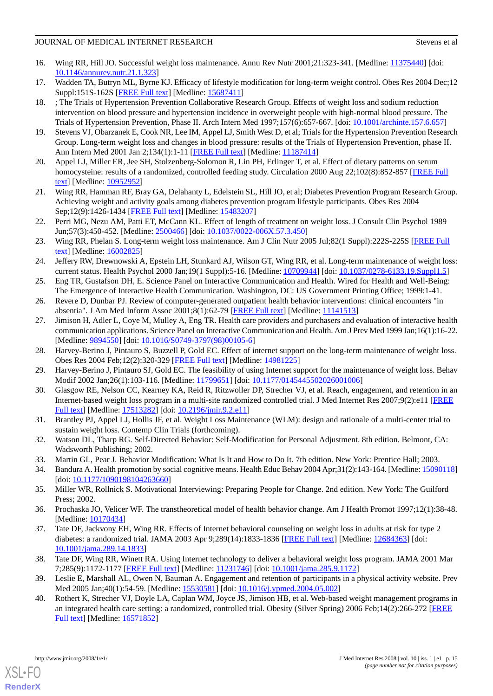- 16. Wing RR, Hill JO. Successful weight loss maintenance. Annu Rev Nutr 2001;21:323-341. [Medline: [11375440\]](http://www.ncbi.nlm.nih.gov/entrez/query.fcgi?cmd=Retrieve&db=PubMed&list_uids=11375440&dopt=Abstract) [doi: [10.1146/annurev.nutr.21.1.323\]](http://dx.doi.org/10.1146/annurev.nutr.21.1.323)
- <span id="page-14-1"></span><span id="page-14-0"></span>17. Wadden TA, Butryn ML, Byrne KJ. Efficacy of lifestyle modification for long-term weight control. Obes Res 2004 Dec;12 Suppl:151S-162S [[FREE Full text](http://www.obesityresearch.org/cgi/pmidlookup?view=long&pmid=15687411)] [Medline: [15687411](http://www.ncbi.nlm.nih.gov/entrez/query.fcgi?cmd=Retrieve&db=PubMed&list_uids=15687411&dopt=Abstract)]
- 18. ; The Trials of Hypertension Prevention Collaborative Research Group. Effects of weight loss and sodium reduction intervention on blood pressure and hypertension incidence in overweight people with high-normal blood pressure. The Trials of Hypertension Prevention, Phase II. Arch Intern Med 1997;157(6):657-667. [doi: [10.1001/archinte.157.6.657](http://dx.doi.org/10.1001/archinte.157.6.657)]
- <span id="page-14-2"></span>19. Stevens VJ, Obarzanek E, Cook NR, Lee IM, Appel LJ, Smith West D, et al; Trials for the Hypertension Prevention Research Group. Long-term weight loss and changes in blood pressure: results of the Trials of Hypertension Prevention, phase II. Ann Intern Med 2001 Jan 2;134(1):1-11 [\[FREE Full text\]](http://www.annals.org/cgi/pmidlookup?view=reprint&pmid=11187414) [Medline: [11187414](http://www.ncbi.nlm.nih.gov/entrez/query.fcgi?cmd=Retrieve&db=PubMed&list_uids=11187414&dopt=Abstract)]
- <span id="page-14-4"></span><span id="page-14-3"></span>20. Appel LJ, Miller ER, Jee SH, Stolzenberg-Solomon R, Lin PH, Erlinger T, et al. Effect of dietary patterns on serum homocysteine: results of a randomized, controlled feeding study. Circulation 2000 Aug 22;102(8):852-857 [\[FREE Full](http://circ.ahajournals.org/cgi/pmidlookup?view=long&pmid=10952952) [text](http://circ.ahajournals.org/cgi/pmidlookup?view=long&pmid=10952952)] [Medline: [10952952](http://www.ncbi.nlm.nih.gov/entrez/query.fcgi?cmd=Retrieve&db=PubMed&list_uids=10952952&dopt=Abstract)]
- <span id="page-14-5"></span>21. Wing RR, Hamman RF, Bray GA, Delahanty L, Edelstein SL, Hill JO, et al; Diabetes Prevention Program Research Group. Achieving weight and activity goals among diabetes prevention program lifestyle participants. Obes Res 2004 Sep;12(9):1426-1434 [[FREE Full text](http://www.obesityresearch.org/cgi/pmidlookup?view=long&pmid=15483207)] [Medline: [15483207](http://www.ncbi.nlm.nih.gov/entrez/query.fcgi?cmd=Retrieve&db=PubMed&list_uids=15483207&dopt=Abstract)]
- <span id="page-14-6"></span>22. Perri MG, Nezu AM, Patti ET, McCann KL. Effect of length of treatment on weight loss. J Consult Clin Psychol 1989 Jun;57(3):450-452. [Medline: [2500466\]](http://www.ncbi.nlm.nih.gov/entrez/query.fcgi?cmd=Retrieve&db=PubMed&list_uids=2500466&dopt=Abstract) [doi: [10.1037/0022-006X.57.3.450](http://dx.doi.org/10.1037/0022-006X.57.3.450)]
- <span id="page-14-7"></span>23. Wing RR, Phelan S. Long-term weight loss maintenance. Am J Clin Nutr 2005 Jul;82(1 Suppl):222S-225S [\[FREE Full](http://www.ajcn.org/cgi/pmidlookup?view=long&pmid=16002825) [text](http://www.ajcn.org/cgi/pmidlookup?view=long&pmid=16002825)] [Medline: [16002825](http://www.ncbi.nlm.nih.gov/entrez/query.fcgi?cmd=Retrieve&db=PubMed&list_uids=16002825&dopt=Abstract)]
- <span id="page-14-8"></span>24. Jeffery RW, Drewnowski A, Epstein LH, Stunkard AJ, Wilson GT, Wing RR, et al. Long-term maintenance of weight loss: current status. Health Psychol 2000 Jan;19(1 Suppl):5-16. [Medline: [10709944\]](http://www.ncbi.nlm.nih.gov/entrez/query.fcgi?cmd=Retrieve&db=PubMed&list_uids=10709944&dopt=Abstract) [doi: [10.1037/0278-6133.19.Suppl1.5](http://dx.doi.org/10.1037/0278-6133.19.Suppl1.5)]
- 25. Eng TR, Gustafson DH, E. Science Panel on Interactive Communication and Health. Wired for Health and Well-Being: The Emergence of Interactive Health Communication. Washington, DC: US Government Printing Office; 1999:1-41.
- 26. Revere D, Dunbar PJ. Review of computer-generated outpatient health behavior interventions: clinical encounters "in absentia". J Am Med Inform Assoc 2001;8(1):62-79 [[FREE Full text](http://www.pubmedcentral.nih.gov/articlerender.fcgi?tool=pubmed&pubmedid=11141513)] [Medline: [11141513\]](http://www.ncbi.nlm.nih.gov/entrez/query.fcgi?cmd=Retrieve&db=PubMed&list_uids=11141513&dopt=Abstract)
- <span id="page-14-10"></span><span id="page-14-9"></span>27. Jimison H, Adler L, Coye M, Mulley A, Eng TR. Health care providers and purchasers and evaluation of interactive health communication applications. Science Panel on Interactive Communication and Health. Am J Prev Med 1999 Jan;16(1):16-22. [Medline: [9894550\]](http://www.ncbi.nlm.nih.gov/entrez/query.fcgi?cmd=Retrieve&db=PubMed&list_uids=9894550&dopt=Abstract) [doi: [10.1016/S0749-3797\(98\)00105-6\]](http://dx.doi.org/10.1016/S0749-3797(98)00105-6)
- <span id="page-14-11"></span>28. Harvey-Berino J, Pintauro S, Buzzell P, Gold EC. Effect of internet support on the long-term maintenance of weight loss. Obes Res 2004 Feb;12(2):320-329 [[FREE Full text](http://www.obesityresearch.org/cgi/pmidlookup?view=long&pmid=14981225)] [Medline: [14981225](http://www.ncbi.nlm.nih.gov/entrez/query.fcgi?cmd=Retrieve&db=PubMed&list_uids=14981225&dopt=Abstract)]
- <span id="page-14-12"></span>29. Harvey-Berino J, Pintauro SJ, Gold EC. The feasibility of using Internet support for the maintenance of weight loss. Behav Modif 2002 Jan;26(1):103-116. [Medline: [11799651](http://www.ncbi.nlm.nih.gov/entrez/query.fcgi?cmd=Retrieve&db=PubMed&list_uids=11799651&dopt=Abstract)] [doi: [10.1177/0145445502026001006\]](http://dx.doi.org/10.1177/0145445502026001006)
- <span id="page-14-13"></span>30. Glasgow RE, Nelson CC, Kearney KA, Reid R, Ritzwoller DP, Strecher VJ, et al. Reach, engagement, and retention in an Internet-based weight loss program in a multi-site randomized controlled trial. J Med Internet Res 2007;9(2):e11 [\[FREE](http://www.jmir.org/2007/2/e11/) [Full text\]](http://www.jmir.org/2007/2/e11/) [Medline: [17513282\]](http://www.ncbi.nlm.nih.gov/entrez/query.fcgi?cmd=Retrieve&db=PubMed&list_uids=17513282&dopt=Abstract) [doi: [10.2196/jmir.9.2.e11](http://dx.doi.org/10.2196/jmir.9.2.e11)]
- <span id="page-14-15"></span><span id="page-14-14"></span>31. Brantley PJ, Appel LJ, Hollis JF, et al. Weight Loss Maintenance (WLM): design and rationale of a multi-center trial to sustain weight loss. Contemp Clin Trials (forthcoming).
- <span id="page-14-16"></span>32. Watson DL, Tharp RG. Self-Directed Behavior: Self-Modification for Personal Adjustment. 8th edition. Belmont, CA: Wadsworth Publishing; 2002.
- <span id="page-14-17"></span>33. Martin GL, Pear J. Behavior Modification: What Is It and How to Do It. 7th edition. New York: Prentice Hall; 2003.
- <span id="page-14-18"></span>34. Bandura A. Health promotion by social cognitive means. Health Educ Behav 2004 Apr;31(2):143-164. [Medline: [15090118\]](http://www.ncbi.nlm.nih.gov/entrez/query.fcgi?cmd=Retrieve&db=PubMed&list_uids=15090118&dopt=Abstract) [doi: [10.1177/1090198104263660](http://dx.doi.org/10.1177/1090198104263660)]
- 35. Miller WR, Rollnick S. Motivational Interviewing: Preparing People for Change. 2nd edition. New York: The Guilford Press; 2002.
- 36. Prochaska JO, Velicer WF. The transtheoretical model of health behavior change. Am J Health Promot 1997;12(1):38-48. [Medline: [10170434](http://www.ncbi.nlm.nih.gov/entrez/query.fcgi?cmd=Retrieve&db=PubMed&list_uids=10170434&dopt=Abstract)]
- <span id="page-14-20"></span><span id="page-14-19"></span>37. Tate DF, Jackvony EH, Wing RR. Effects of Internet behavioral counseling on weight loss in adults at risk for type 2 diabetes: a randomized trial. JAMA 2003 Apr 9;289(14):1833-1836 [\[FREE Full text\]](http://jama.ama-assn.org/cgi/pmidlookup?view=long&pmid=12684363) [Medline: [12684363\]](http://www.ncbi.nlm.nih.gov/entrez/query.fcgi?cmd=Retrieve&db=PubMed&list_uids=12684363&dopt=Abstract) [doi: [10.1001/jama.289.14.1833\]](http://dx.doi.org/10.1001/jama.289.14.1833)
- 38. Tate DF, Wing RR, Winett RA. Using Internet technology to deliver a behavioral weight loss program. JAMA 2001 Mar 7;285(9):1172-1177 [[FREE Full text](http://jama.ama-assn.org/cgi/pmidlookup?view=long&pmid=11231746)] [Medline: [11231746](http://www.ncbi.nlm.nih.gov/entrez/query.fcgi?cmd=Retrieve&db=PubMed&list_uids=11231746&dopt=Abstract)] [doi: [10.1001/jama.285.9.1172](http://dx.doi.org/10.1001/jama.285.9.1172)]
- 39. Leslie E, Marshall AL, Owen N, Bauman A. Engagement and retention of participants in a physical activity website. Prev Med 2005 Jan;40(1):54-59. [Medline: [15530581\]](http://www.ncbi.nlm.nih.gov/entrez/query.fcgi?cmd=Retrieve&db=PubMed&list_uids=15530581&dopt=Abstract) [doi: [10.1016/j.ypmed.2004.05.002](http://dx.doi.org/10.1016/j.ypmed.2004.05.002)]
- 40. Rothert K, Strecher VJ, Doyle LA, Caplan WM, Joyce JS, Jimison HB, et al. Web-based weight management programs in an integrated health care setting: a randomized, controlled trial. Obesity (Silver Spring) 2006 Feb;14(2):266-272 [[FREE](http://www.obesityresearch.org/cgi/pmidlookup?view=long&pmid=16571852) [Full text\]](http://www.obesityresearch.org/cgi/pmidlookup?view=long&pmid=16571852) [Medline: [16571852\]](http://www.ncbi.nlm.nih.gov/entrez/query.fcgi?cmd=Retrieve&db=PubMed&list_uids=16571852&dopt=Abstract)